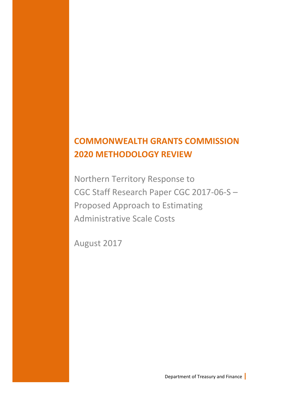## **COMMONWEALTH GRANTS COMMISSION 2020 METHODOLOGY REVIEW**

Northern Territory Response to CGC Staff Research Paper CGC 2017-06-S – Proposed Approach to Estimating Administrative Scale Costs

August 2017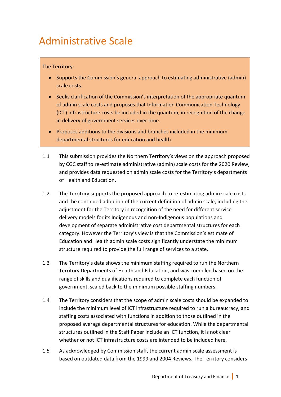# Administrative Scale

### The Territory:

- Supports the Commission's general approach to estimating administrative (admin) scale costs.
- Seeks clarification of the Commission's interpretation of the appropriate quantum of admin scale costs and proposes that Information Communication Technology (ICT) infrastructure costs be included in the quantum, in recognition of the change in delivery of government services over time.
- Proposes additions to the divisions and branches included in the minimum departmental structures for education and health.
- 1.1 This submission provides the Northern Territory's views on the approach proposed by CGC staff to re-estimate administrative (admin) scale costs for the 2020 Review, and provides data requested on admin scale costs for the Territory's departments of Health and Education.
- 1.2 The Territory supports the proposed approach to re-estimating admin scale costs and the continued adoption of the current definition of admin scale, including the adjustment for the Territory in recognition of the need for different service delivery models for its Indigenous and non-Indigenous populations and development of separate administrative cost departmental structures for each category. However the Territory's view is that the Commission's estimate of Education and Health admin scale costs significantly understate the minimum structure required to provide the full range of services to a state.
- 1.3 The Territory's data shows the minimum staffing required to run the Northern Territory Departments of Health and Education, and was compiled based on the range of skills and qualifications required to complete each function of government, scaled back to the minimum possible staffing numbers.
- 1.4 The Territory considers that the scope of admin scale costs should be expanded to include the minimum level of ICT infrastructure required to run a bureaucracy, and staffing costs associated with functions in addition to those outlined in the proposed average departmental structures for education. While the departmental structures outlined in the Staff Paper include an ICT function, it is not clear whether or not ICT infrastructure costs are intended to be included here.
- 1.5 As acknowledged by Commission staff, the current admin scale assessment is based on outdated data from the 1999 and 2004 Reviews. The Territory considers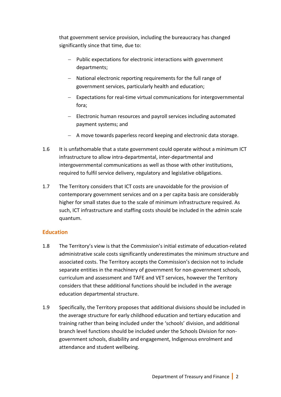that government service provision, including the bureaucracy has changed significantly since that time, due to:

- Public expectations for electronic interactions with government departments;
- National electronic reporting requirements for the full range of government services, particularly health and education;
- Expectations for real-time virtual communications for intergovernmental fora;
- Electronic human resources and payroll services including automated payment systems; and
- A move towards paperless record keeping and electronic data storage.
- 1.6 It is unfathomable that a state government could operate without a minimum ICT infrastructure to allow intra-departmental, inter-departmental and intergovernmental communications as well as those with other institutions, required to fulfil service delivery, regulatory and legislative obligations.
- 1.7 The Territory considers that ICT costs are unavoidable for the provision of contemporary government services and on a per capita basis are considerably higher for small states due to the scale of minimum infrastructure required. As such, ICT infrastructure and staffing costs should be included in the admin scale quantum.

### **Education**

- 1.8 The Territory's view is that the Commission's initial estimate of education-related administrative scale costs significantly underestimates the minimum structure and associated costs. The Territory accepts the Commission's decision not to include separate entities in the machinery of government for non-government schools, curriculum and assessment and TAFE and VET services, however the Territory considers that these additional functions should be included in the average education departmental structure.
- 1.9 Specifically, the Territory proposes that additional divisions should be included in the average structure for early childhood education and tertiary education and training rather than being included under the 'schools' division, and additional branch level functions should be included under the Schools Division for nongovernment schools, disability and engagement, Indigenous enrolment and attendance and student wellbeing.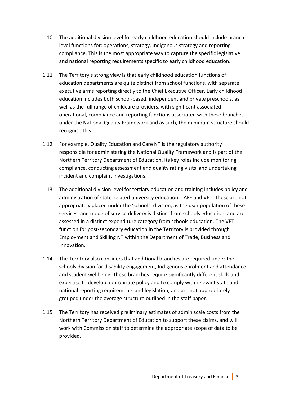- 1.10 The additional division level for early childhood education should include branch level functions for: operations, strategy, Indigenous strategy and reporting compliance. This is the most appropriate way to capture the specific legislative and national reporting requirements specific to early childhood education.
- 1.11 The Territory's strong view is that early childhood education functions of education departments are quite distinct from school functions, with separate executive arms reporting directly to the Chief Executive Officer. Early childhood education includes both school-based, independent and private preschools, as well as the full range of childcare providers, with significant associated operational, compliance and reporting functions associated with these branches under the National Quality Framework and as such, the minimum structure should recognise this.
- 1.12 For example, Quality Education and Care NT is the regulatory authority responsible for administering the National Quality Framework and is part of the Northern Territory Department of Education. Its key roles include monitoring compliance, conducting assessment and quality rating visits, and undertaking incident and complaint investigations.
- 1.13 The additional division level for tertiary education and training includes policy and administration of state-related university education, TAFE and VET. These are not appropriately placed under the 'schools' division, as the user population of these services, and mode of service delivery is distinct from schools education, and are assessed in a distinct expenditure category from schools education. The VET function for post-secondary education in the Territory is provided through Employment and Skilling NT within the Department of Trade, Business and Innovation.
- 1.14 The Territory also considers that additional branches are required under the schools division for disability engagement, Indigenous enrolment and attendance and student wellbeing. These branches require significantly different skills and expertise to develop appropriate policy and to comply with relevant state and national reporting requirements and legislation, and are not appropriately grouped under the average structure outlined in the staff paper.
- 1.15 The Territory has received preliminary estimates of admin scale costs from the Northern Territory Department of Education to support these claims, and will work with Commission staff to determine the appropriate scope of data to be provided.